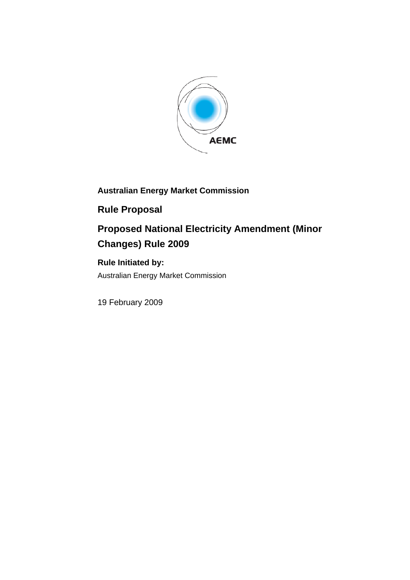

## **Australian Energy Market Commission**

## **Rule Proposal**

# **Proposed National Electricity Amendment (Minor Changes) Rule 2009**

### **Rule Initiated by:**

Australian Energy Market Commission

19 February 2009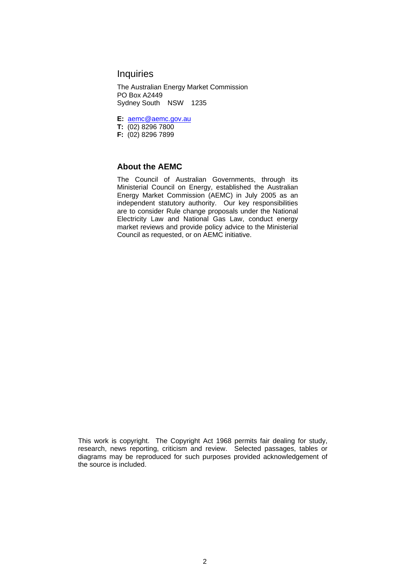#### **Inquiries**

The Australian Energy Market Commission PO Box A2449 Sydney South NSW 1235

**E:** aemc@aemc.gov.au

- **T:** (02) 8296 7800
- **F:** (02) 8296 7899

#### **About the AEMC**

The Council of Australian Governments, through its Ministerial Council on Energy, established the Australian Energy Market Commission (AEMC) in July 2005 as an independent statutory authority. Our key responsibilities are to consider Rule change proposals under the National Electricity Law and National Gas Law, conduct energy market reviews and provide policy advice to the Ministerial Council as requested, or on AEMC initiative.

This work is copyright. The Copyright Act 1968 permits fair dealing for study, research, news reporting, criticism and review. Selected passages, tables or diagrams may be reproduced for such purposes provided acknowledgement of the source is included.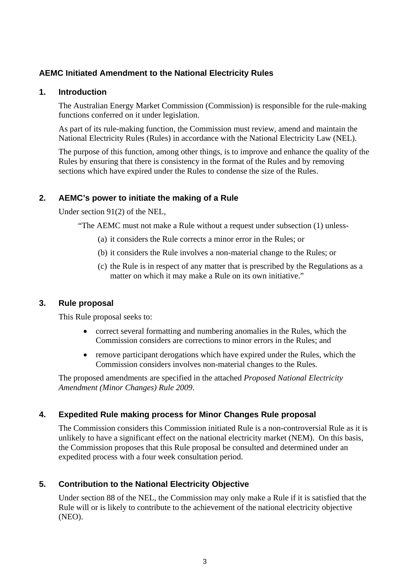#### **AEMC Initiated Amendment to the National Electricity Rules**

#### **1. Introduction**

The Australian Energy Market Commission (Commission) is responsible for the rule-making functions conferred on it under legislation.

As part of its rule-making function, the Commission must review, amend and maintain the National Electricity Rules (Rules) in accordance with the National Electricity Law (NEL).

The purpose of this function, among other things, is to improve and enhance the quality of the Rules by ensuring that there is consistency in the format of the Rules and by removing sections which have expired under the Rules to condense the size of the Rules.

#### **2. AEMC's power to initiate the making of a Rule**

Under section 91(2) of the NEL,

"The AEMC must not make a Rule without a request under subsection (1) unless-

- (a) it considers the Rule corrects a minor error in the Rules; or
- (b) it considers the Rule involves a non-material change to the Rules; or
- (c) the Rule is in respect of any matter that is prescribed by the Regulations as a matter on which it may make a Rule on its own initiative."

#### **3. Rule proposal**

This Rule proposal seeks to:

- correct several formatting and numbering anomalies in the Rules, which the Commission considers are corrections to minor errors in the Rules; and
- remove participant derogations which have expired under the Rules, which the Commission considers involves non-material changes to the Rules.

The proposed amendments are specified in the attached *Proposed National Electricity Amendment (Minor Changes) Rule 2009*.

#### **4. Expedited Rule making process for Minor Changes Rule proposal**

The Commission considers this Commission initiated Rule is a non-controversial Rule as it is unlikely to have a significant effect on the national electricity market (NEM). On this basis, the Commission proposes that this Rule proposal be consulted and determined under an expedited process with a four week consultation period.

#### **5. Contribution to the National Electricity Objective**

Under section 88 of the NEL, the Commission may only make a Rule if it is satisfied that the Rule will or is likely to contribute to the achievement of the national electricity objective (NEO).